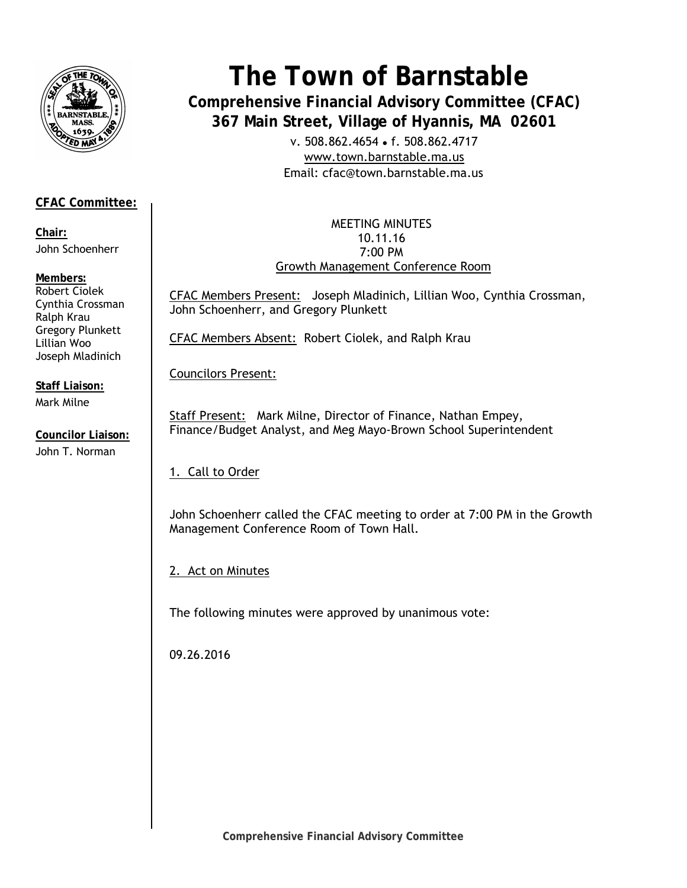

# **CFAC Committee:**

**Chair:**  John Schoenherr

## **Members:**

Robert Ciolek Cynthia Crossman Ralph Krau Gregory Plunkett Lillian Woo Joseph Mladinich

**Staff Liaison:**  Mark Milne

**Councilor Liaison:**  John T. Norman

# **The Town of Barnstable**

**Comprehensive Financial Advisory Committee (CFAC) 367 Main Street, Village of Hyannis, MA 02601** 

> v. 508.862.4654 • f. 508.862.4717 www.town.barnstable.ma.us Email: cfac@town.barnstable.ma.us

MEETING MINUTES 10.11.16 7:00 PM Growth Management Conference Room

CFAC Members Present: Joseph Mladinich, Lillian Woo, Cynthia Crossman, John Schoenherr, and Gregory Plunkett

CFAC Members Absent: Robert Ciolek, and Ralph Krau

Councilors Present:

Staff Present: Mark Milne, Director of Finance, Nathan Empey, Finance/Budget Analyst, and Meg Mayo-Brown School Superintendent

1. Call to Order

John Schoenherr called the CFAC meeting to order at 7:00 PM in the Growth Management Conference Room of Town Hall.

2. Act on Minutes

The following minutes were approved by unanimous vote:

09.26.2016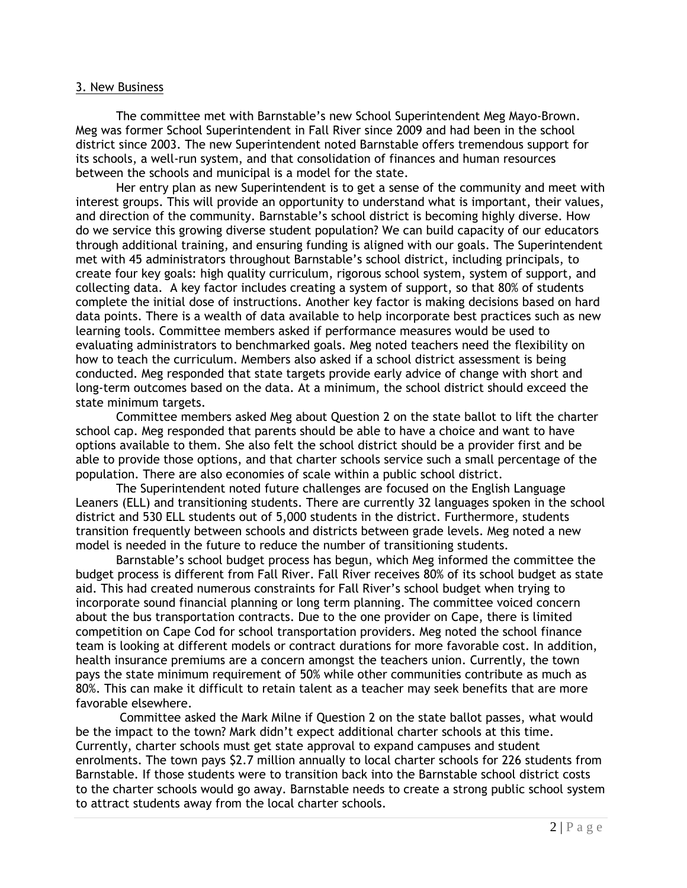#### 3. New Business

 The committee met with Barnstable's new School Superintendent Meg Mayo-Brown. Meg was former School Superintendent in Fall River since 2009 and had been in the school district since 2003. The new Superintendent noted Barnstable offers tremendous support for its schools, a well-run system, and that consolidation of finances and human resources between the schools and municipal is a model for the state.

 Her entry plan as new Superintendent is to get a sense of the community and meet with interest groups. This will provide an opportunity to understand what is important, their values, and direction of the community. Barnstable's school district is becoming highly diverse. How do we service this growing diverse student population? We can build capacity of our educators through additional training, and ensuring funding is aligned with our goals. The Superintendent met with 45 administrators throughout Barnstable's school district, including principals, to create four key goals: high quality curriculum, rigorous school system, system of support, and collecting data. A key factor includes creating a system of support, so that 80% of students complete the initial dose of instructions. Another key factor is making decisions based on hard data points. There is a wealth of data available to help incorporate best practices such as new learning tools. Committee members asked if performance measures would be used to evaluating administrators to benchmarked goals. Meg noted teachers need the flexibility on how to teach the curriculum. Members also asked if a school district assessment is being conducted. Meg responded that state targets provide early advice of change with short and long-term outcomes based on the data. At a minimum, the school district should exceed the state minimum targets.

 Committee members asked Meg about Question 2 on the state ballot to lift the charter school cap. Meg responded that parents should be able to have a choice and want to have options available to them. She also felt the school district should be a provider first and be able to provide those options, and that charter schools service such a small percentage of the population. There are also economies of scale within a public school district.

 The Superintendent noted future challenges are focused on the English Language Leaners (ELL) and transitioning students. There are currently 32 languages spoken in the school district and 530 ELL students out of 5,000 students in the district. Furthermore, students transition frequently between schools and districts between grade levels. Meg noted a new model is needed in the future to reduce the number of transitioning students.

 Barnstable's school budget process has begun, which Meg informed the committee the budget process is different from Fall River. Fall River receives 80% of its school budget as state aid. This had created numerous constraints for Fall River's school budget when trying to incorporate sound financial planning or long term planning. The committee voiced concern about the bus transportation contracts. Due to the one provider on Cape, there is limited competition on Cape Cod for school transportation providers. Meg noted the school finance team is looking at different models or contract durations for more favorable cost. In addition, health insurance premiums are a concern amongst the teachers union. Currently, the town pays the state minimum requirement of 50% while other communities contribute as much as 80%. This can make it difficult to retain talent as a teacher may seek benefits that are more favorable elsewhere.

 Committee asked the Mark Milne if Question 2 on the state ballot passes, what would be the impact to the town? Mark didn't expect additional charter schools at this time. Currently, charter schools must get state approval to expand campuses and student enrolments. The town pays \$2.7 million annually to local charter schools for 226 students from Barnstable. If those students were to transition back into the Barnstable school district costs to the charter schools would go away. Barnstable needs to create a strong public school system to attract students away from the local charter schools.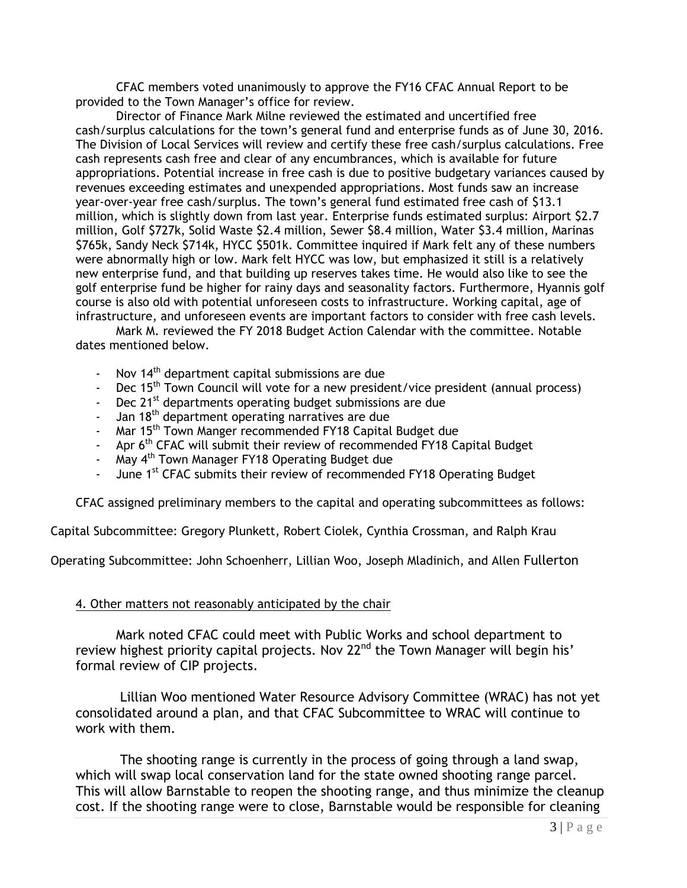CFAC members voted unanimously to approve the FY16 CFAC Annual Report to be provided to the Town Manager's office for review.

 Director of Finance Mark Milne reviewed the estimated and uncertified free cash/surplus calculations for the town's general fund and enterprise funds as of June 30, 2016. The Division of Local Services will review and certify these free cash/surplus calculations. Free cash represents cash free and clear of any encumbrances, which is available for future appropriations. Potential increase in free cash is due to positive budgetary variances caused by revenues exceeding estimates and unexpended appropriations. Most funds saw an increase year-over-year free cash/surplus. The town's general fund estimated free cash of \$13.1 million, which is slightly down from last year. Enterprise funds estimated surplus: Airport \$2.7 million, Golf \$727k, Solid Waste \$2.4 million, Sewer \$8.4 million, Water \$3.4 million, Marinas \$765k, Sandy Neck \$714k, HYCC \$501k. Committee inquired if Mark felt any of these numbers were abnormally high or low. Mark felt HYCC was low, but emphasized it still is a relatively new enterprise fund, and that building up reserves takes time. He would also like to see the golf enterprise fund be higher for rainy days and seasonality factors. Furthermore, Hyannis golf course is also old with potential unforeseen costs to infrastructure. Working capital, age of infrastructure, and unforeseen events are important factors to consider with free cash levels.

 Mark M. reviewed the FY 2018 Budget Action Calendar with the committee. Notable dates mentioned below.

- Nov  $14<sup>th</sup>$  department capital submissions are due
- Dec 15<sup>th</sup> Town Council will vote for a new president/vice president (annual process)
- Dec 21<sup>st</sup> departments operating budget submissions are due
- Jan 18<sup>th</sup> department operating narratives are due
- Mar 15<sup>th</sup> Town Manger recommended FY18 Capital Budget due
- Apr 6<sup>th</sup> CFAC will submit their review of recommended FY18 Capital Budget
- May 4<sup>th</sup> Town Manager FY18 Operating Budget due
- June 1<sup>st</sup> CFAC submits their review of recommended FY18 Operating Budget

CFAC assigned preliminary members to the capital and operating subcommittees as follows:

Capital Subcommittee: Gregory Plunkett, Robert Ciolek, Cynthia Crossman, and Ralph Krau

Operating Subcommittee: John Schoenherr, Lillian Woo, Joseph Mladinich, and Allen Fullerton

#### 4. Other matters not reasonably anticipated by the chair

 Mark noted CFAC could meet with Public Works and school department to review highest priority capital projects. Nov 22<sup>nd</sup> the Town Manager will begin his' formal review of CIP projects.

 Lillian Woo mentioned Water Resource Advisory Committee (WRAC) has not yet consolidated around a plan, and that CFAC Subcommittee to WRAC will continue to work with them.

 The shooting range is currently in the process of going through a land swap, which will swap local conservation land for the state owned shooting range parcel. This will allow Barnstable to reopen the shooting range, and thus minimize the cleanup cost. If the shooting range were to close, Barnstable would be responsible for cleaning